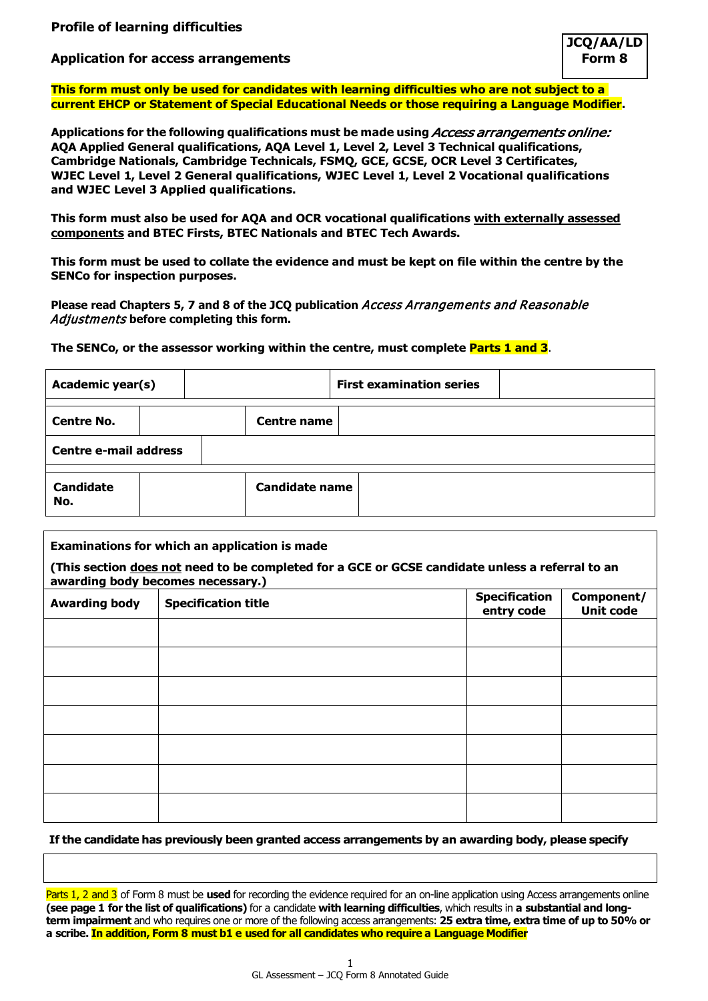## **Profile of learning difficulties**

# **Application for access arrangements**

**This form must only be used for candidates with learning difficulties who are not subject to a current EHCP or Statement of Special Educational Needs or those requiring a Language Modifier.**

**Applications for the following qualifications must be made using** Access arrangements online: **AQA Applied General qualifications, AQA Level 1, Level 2, Level 3 Technical qualifications, Cambridge Nationals, Cambridge Technicals, FSMQ, GCE, GCSE, OCR Level 3 Certificates, WJEC Level 1, Level 2 General qualifications, WJEC Level 1, Level 2 Vocational qualifications and WJEC Level 3 Applied qualifications.**

**This form must also be used for AQA and OCR vocational qualifications with externally assessed components and BTEC Firsts, BTEC Nationals and BTEC Tech Awards.**

**This form must be used to collate the evidence and must be kept on file within the centre by the SENCo for inspection purposes.**

**Please read Chapters 5, 7 and 8 of the JCQ publication** Access Arrangements and Reasonable Adjustments **before completing this form.**

**The SENCo, or the assessor working within the centre, must complete Parts 1 and 3**.

| <b>Academic year(s)</b>      |  |                       | <b>First examination series</b> |  |  |
|------------------------------|--|-----------------------|---------------------------------|--|--|
| <b>Centre No.</b>            |  | <b>Centre name</b>    |                                 |  |  |
| <b>Centre e-mail address</b> |  |                       |                                 |  |  |
| <b>Candidate</b><br>No.      |  | <b>Candidate name</b> |                                 |  |  |

#### **Examinations for which an application is made**

**(This section does not need to be completed for a GCE or GCSE candidate unless a referral to an awarding body becomes necessary.)**

| <b>Awarding body</b> | <b>Specification title</b> | <b>Specification</b><br>entry code | Component/<br><b>Unit code</b> |
|----------------------|----------------------------|------------------------------------|--------------------------------|
|                      |                            |                                    |                                |
|                      |                            |                                    |                                |
|                      |                            |                                    |                                |
|                      |                            |                                    |                                |
|                      |                            |                                    |                                |
|                      |                            |                                    |                                |
|                      |                            |                                    |                                |

#### **If the candidate has previously been granted access arrangements by an awarding body, please specify**

Parts 1, 2 and 3 of Form 8 must be **used** for recording the evidence required for an on-line application using Access arrangements online **(see page 1 for the list of qualifications)** for a candidate **with learning difficulties**, which results in **a substantial and longterm impairment** and who requires one or more of the following access arrangements: **25 extra time, extra time of up to 50% or a scribe. In addition, Form 8 must b1 e used for all candidates who require a Language Modifier**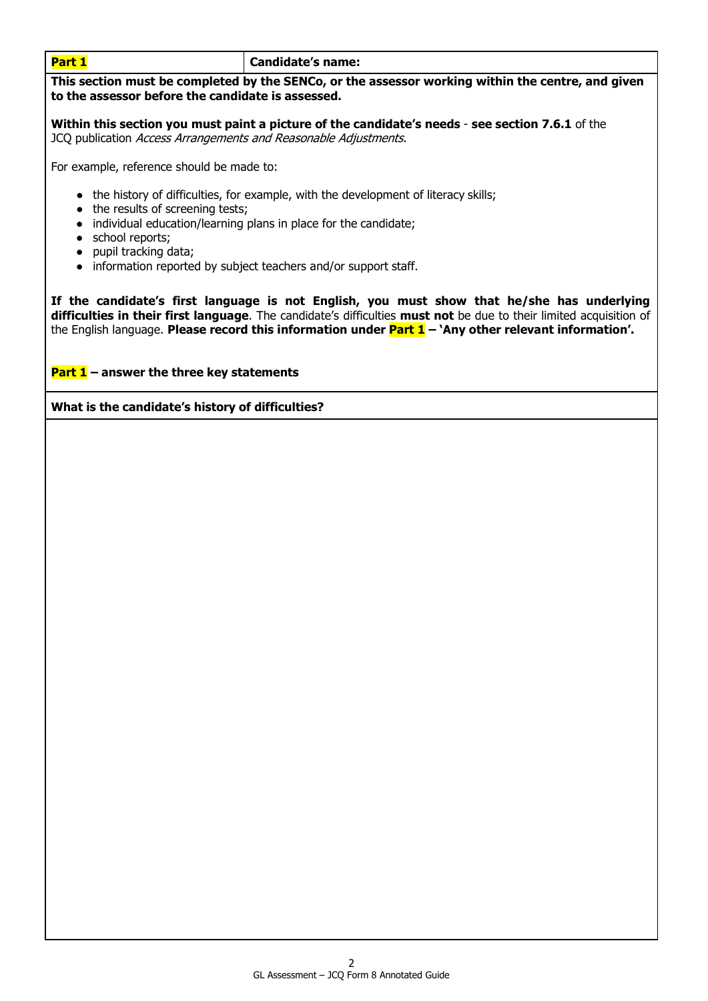**Part 1 Candidate's name:** 

**This section must be completed by the SENCo, or the assessor working within the centre, and given to the assessor before the candidate is assessed.**

**Within this section you must paint a picture of the candidate's needs** - **see section 7.6.1** of the JCQ publication Access Arrangements and Reasonable Adjustments.

For example, reference should be made to:

- the history of difficulties, for example, with the development of literacy skills;
- the results of screening tests;
- individual education/learning plans in place for the candidate;
- school reports;
- pupil tracking data;
- information reported by subject teachers and/or support staff.

**If the candidate's first language is not English, you must show that he/she has underlying difficulties in their first language**. The candidate's difficulties **must not** be due to their limited acquisition of the English language. **Please record this information under Part 1 – 'Any other relevant information'.**

# **Part 1 – answer the three key statements**

**What is the candidate's history of difficulties?**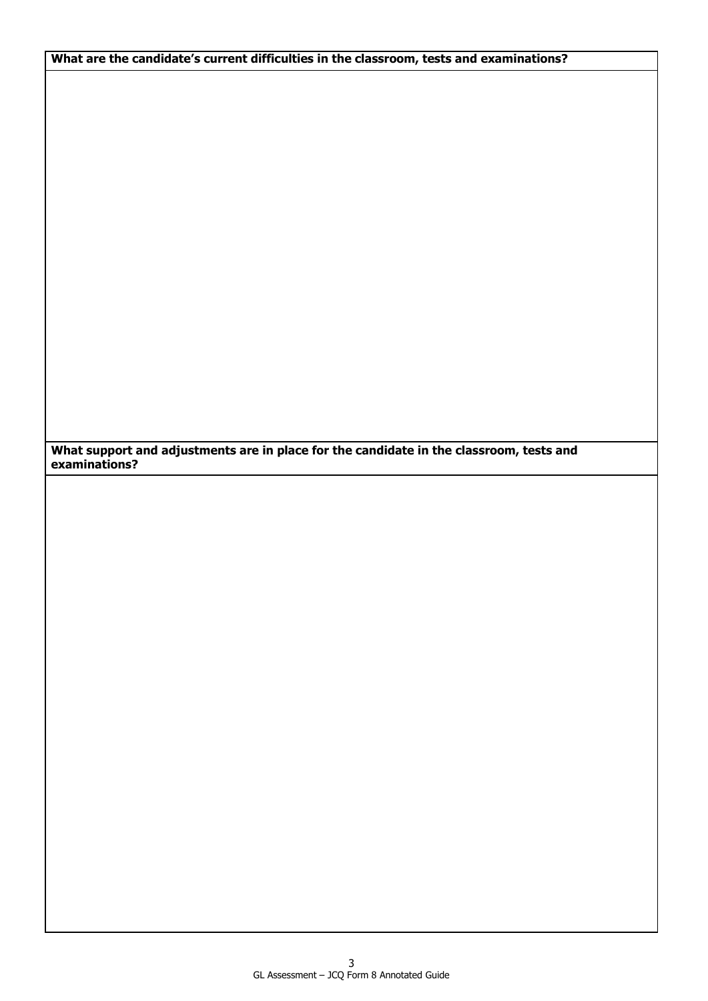**What are the candidate's current difficulties in the classroom, tests and examinations?**

**What support and adjustments are in place for the candidate in the classroom, tests and examinations?**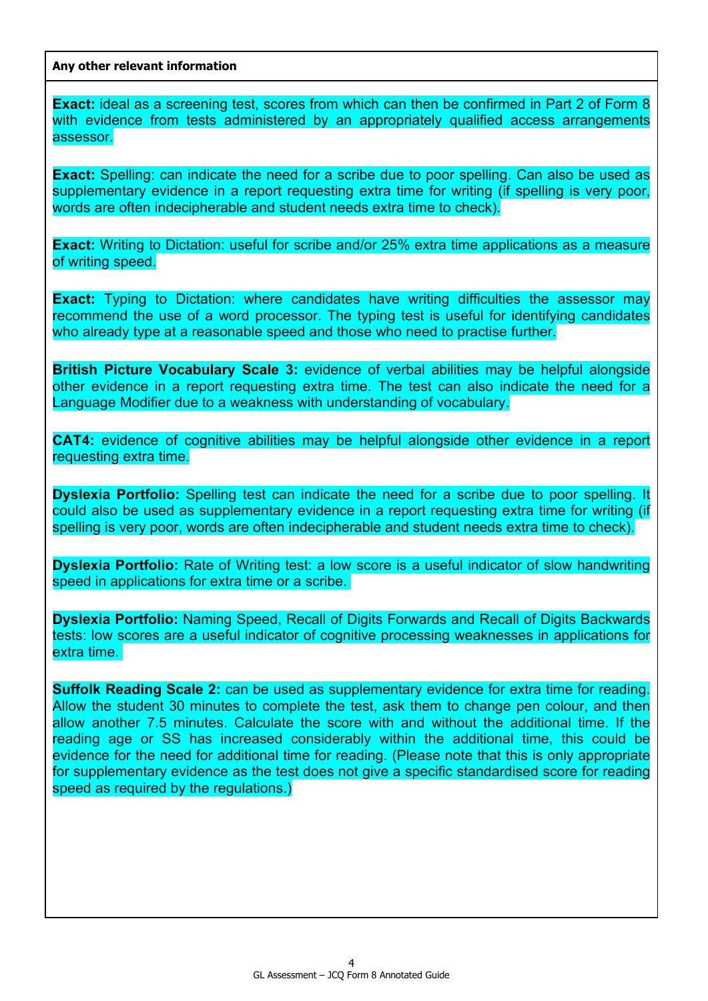**Any other relevant information**

**Exact:** ideal as a screening test, scores from which can then be confirmed in Part 2 of Form 8 with evidence from tests administered by an appropriately qualified access arrangements assessor.

**Exact:** Spelling: can indicate the need for a scribe due to poor spelling. Can also be used as supplementary evidence in a report requesting extra time for writing (if spelling is very poor, words are often indecipherable and student needs extra time to check).

**Exact:** Writing to Dictation: useful for scribe and/or 25% extra time applications as a measure of writing speed.

**Exact:** Typing to Dictation: where candidates have writing difficulties the assessor may recommend the use of a word processor. The typing test is useful for identifying candidates who already type at a reasonable speed and those who need to practise further.

**British Picture Vocabulary Scale 3:** evidence of verbal abilities may be helpful alongside other evidence in a report requesting extra time. The test can also indicate the need for a Language Modifier due to a weakness with understanding of vocabulary.

**CAT4:** evidence of cognitive abilities may be helpful alongside other evidence in a report requesting extra time.

**Dyslexia Portfolio:** Spelling test can indicate the need for a scribe due to poor spelling. It could also be used as supplementary evidence in a report requesting extra time for writing (if spelling is very poor, words are often indecipherable and student needs extra time to check).

**Dyslexia Portfolio:** Rate of Writing test: a low score is a useful indicator of slow handwriting speed in applications for extra time or a scribe.

**Dyslexia Portfolio:** Naming Speed, Recall of Digits Forwards and Recall of Digits Backwards tests: low scores are a useful indicator of cognitive processing weaknesses in applications for extra time.

**Suffolk Reading Scale 2:** can be used as supplementary evidence for extra time for reading. Allow the student 30 minutes to complete the test, ask them to change pen colour, and then allow another 7.5 minutes. Calculate the score with and without the additional time. If the reading age or SS has increased considerably within the additional time, this could be evidence for the need for additional time for reading. (Please note that this is only appropriate for supplementary evidence as the test does not give a specific standardised score for reading speed as required by the regulations.)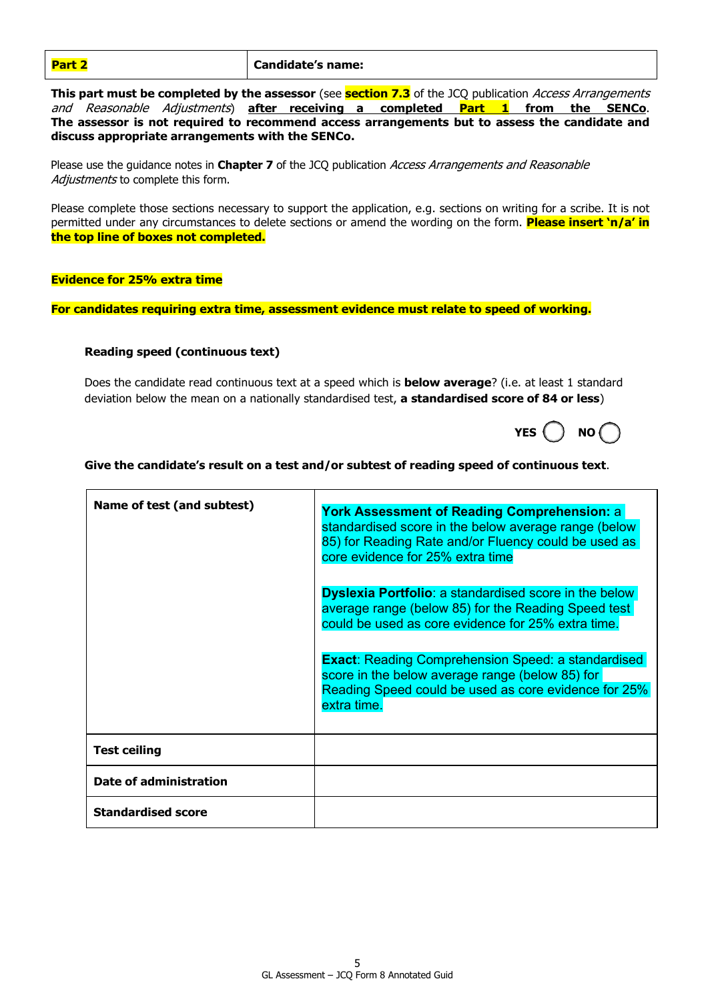| <b>Candidate's name:</b><br><b>Part</b> |  |
|-----------------------------------------|--|
|-----------------------------------------|--|

**This part must be completed by the assessor** (see **section 7.3** of the JCQ publication Access Arrangements and Reasonable Adjustments) **after receiving a completed Part 1 from the SENCo**. **The assessor is not required to recommend access arrangements but to assess the candidate and discuss appropriate arrangements with the SENCo.**

Please use the guidance notes in **Chapter 7** of the JCQ publication Access Arrangements and Reasonable Adjustments to complete this form.

Please complete those sections necessary to support the application, e.g. sections on writing for a scribe. It is not permitted under any circumstances to delete sections or amend the wording on the form. **Please insert 'n/a' in the top line of boxes not completed.**

#### **Evidence for 25% extra time**

**For candidates requiring extra time, assessment evidence must relate to speed of working.**

#### **Reading speed (continuous text)**

Does the candidate read continuous text at a speed which is **below average**? (i.e. at least 1 standard deviation below the mean on a nationally standardised test, **a standardised score of 84 or less**)

| YFS |  | NO |  |
|-----|--|----|--|
|-----|--|----|--|

#### **Give the candidate's result on a test and/or subtest of reading speed of continuous text**.

| Name of test (and subtest) | <b>York Assessment of Reading Comprehension: a</b><br>standardised score in the below average range (below<br>85) for Reading Rate and/or Fluency could be used as<br>core evidence for 25% extra time |
|----------------------------|--------------------------------------------------------------------------------------------------------------------------------------------------------------------------------------------------------|
|                            | <b>Dyslexia Portfolio:</b> a standardised score in the below<br>average range (below 85) for the Reading Speed test<br>could be used as core evidence for 25% extra time.                              |
|                            | <b>Exact:</b> Reading Comprehension Speed: a standardised<br>score in the below average range (below 85) for<br>Reading Speed could be used as core evidence for 25%<br>extra time.                    |
| <b>Test ceiling</b>        |                                                                                                                                                                                                        |
| Date of administration     |                                                                                                                                                                                                        |
| <b>Standardised score</b>  |                                                                                                                                                                                                        |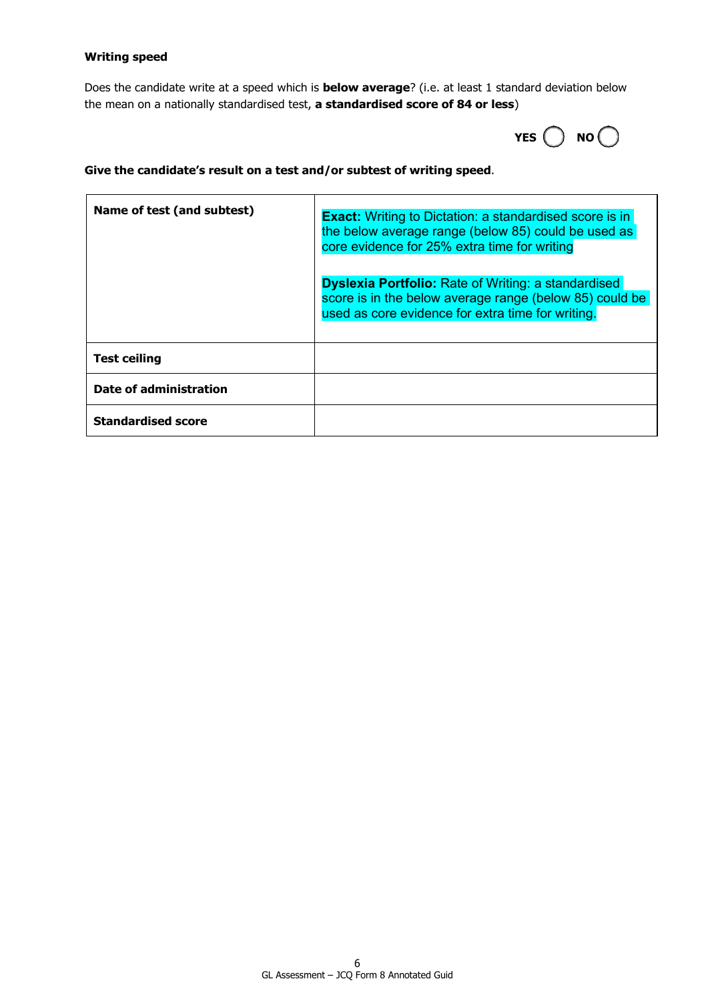### **Writing speed**

Does the candidate write at a speed which is **below average**? (i.e. at least 1 standard deviation below the mean on a nationally standardised test, **a standardised score of 84 or less**)



## **Give the candidate's result on a test and/or subtest of writing speed**.

| Name of test (and subtest) | <b>Exact:</b> Writing to Dictation: a standardised score is in<br>the below average range (below 85) could be used as<br>core evidence for 25% extra time for writing      |
|----------------------------|----------------------------------------------------------------------------------------------------------------------------------------------------------------------------|
|                            | <b>Dyslexia Portfolio:</b> Rate of Writing: a standardised<br>score is in the below average range (below 85) could be<br>used as core evidence for extra time for writing. |
| <b>Test ceiling</b>        |                                                                                                                                                                            |
| Date of administration     |                                                                                                                                                                            |
| <b>Standardised score</b>  |                                                                                                                                                                            |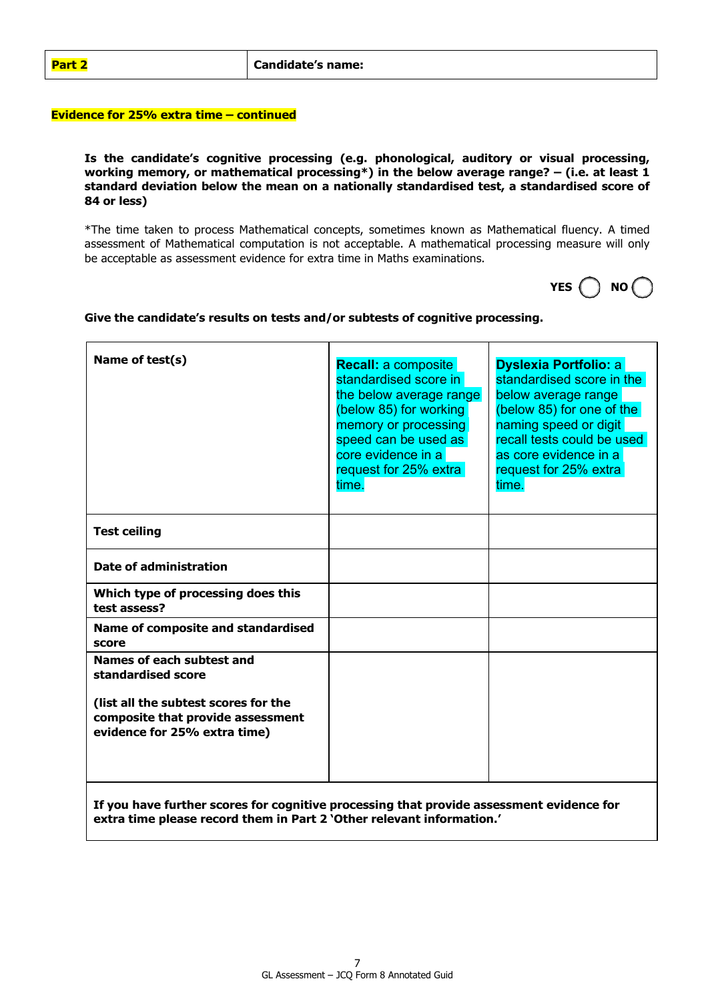#### **Evidence for 25% extra time – continued**

**Is the candidate's cognitive processing (e.g. phonological, auditory or visual processing, working memory, or mathematical processing\*) in the below average range? – (i.e. at least 1 standard deviation below the mean on a nationally standardised test, a standardised score of 84 or less)**

\*The time taken to process Mathematical concepts, sometimes known as Mathematical fluency. A timed assessment of Mathematical computation is not acceptable. A mathematical processing measure will only be acceptable as assessment evidence for extra time in Maths examinations.

| ٦<br>-- |  | NO |  |
|---------|--|----|--|
|---------|--|----|--|

| Name of test(s)                                                                                                                                                   | <b>Recall: a composite</b><br>standardised score in<br>the below average range<br>(below 85) for working<br>memory or processing<br>speed can be used as<br>core evidence in a<br>request for 25% extra<br>time. | <b>Dyslexia Portfolio: a</b><br>standardised score in the<br>below average range<br>(below 85) for one of the<br>naming speed or digit<br>recall tests could be used<br>as core evidence in a<br>request for 25% extra<br>time. |
|-------------------------------------------------------------------------------------------------------------------------------------------------------------------|------------------------------------------------------------------------------------------------------------------------------------------------------------------------------------------------------------------|---------------------------------------------------------------------------------------------------------------------------------------------------------------------------------------------------------------------------------|
| <b>Test ceiling</b>                                                                                                                                               |                                                                                                                                                                                                                  |                                                                                                                                                                                                                                 |
| <b>Date of administration</b>                                                                                                                                     |                                                                                                                                                                                                                  |                                                                                                                                                                                                                                 |
| Which type of processing does this<br>test assess?                                                                                                                |                                                                                                                                                                                                                  |                                                                                                                                                                                                                                 |
| Name of composite and standardised<br>score                                                                                                                       |                                                                                                                                                                                                                  |                                                                                                                                                                                                                                 |
| Names of each subtest and<br>standardised score                                                                                                                   |                                                                                                                                                                                                                  |                                                                                                                                                                                                                                 |
| (list all the subtest scores for the<br>composite that provide assessment<br>evidence for 25% extra time)                                                         |                                                                                                                                                                                                                  |                                                                                                                                                                                                                                 |
| If you have further scores for cognitive processing that provide assessment evidence for<br>extra time please record them in Part 2 'Other relevant information.' |                                                                                                                                                                                                                  |                                                                                                                                                                                                                                 |

# **Give the candidate's results on tests and/or subtests of cognitive processing.**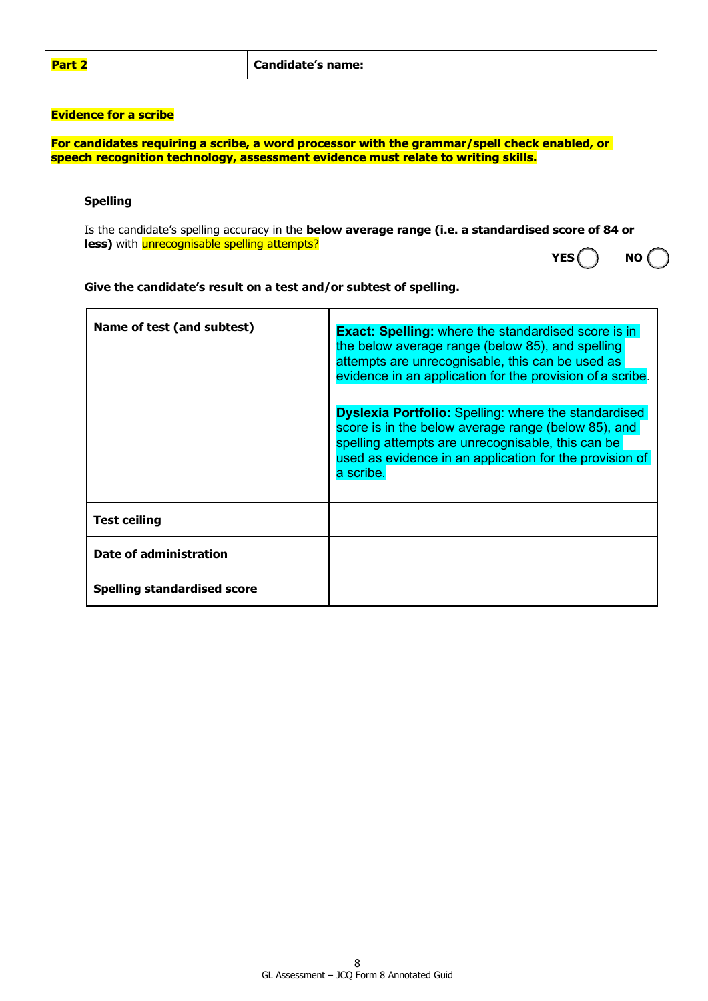# **Evidence for a scribe**

**For candidates requiring a scribe, a word processor with the grammar/spell check enabled, or speech recognition technology, assessment evidence must relate to writing skills.**

#### **Spelling**

Is the candidate's spelling accuracy in the **below average range (i.e. a standardised score of 84 or less)** with **unrecognisable spelling attempts? YES NO**

|  | NO |  |
|--|----|--|
|  |    |  |

**Give the candidate's result on a test and/or subtest of spelling.**

| Name of test (and subtest)  | <b>Exact: Spelling:</b> where the standardised score is in<br>the below average range (below 85), and spelling<br>attempts are unrecognisable, this can be used as<br>evidence in an application for the provision of a scribe.<br><b>Dyslexia Portfolio:</b> Spelling: where the standardised<br>score is in the below average range (below 85), and |
|-----------------------------|-------------------------------------------------------------------------------------------------------------------------------------------------------------------------------------------------------------------------------------------------------------------------------------------------------------------------------------------------------|
|                             | spelling attempts are unrecognisable, this can be<br>used as evidence in an application for the provision of<br>a scribe.                                                                                                                                                                                                                             |
| <b>Test ceiling</b>         |                                                                                                                                                                                                                                                                                                                                                       |
| Date of administration      |                                                                                                                                                                                                                                                                                                                                                       |
| Spelling standardised score |                                                                                                                                                                                                                                                                                                                                                       |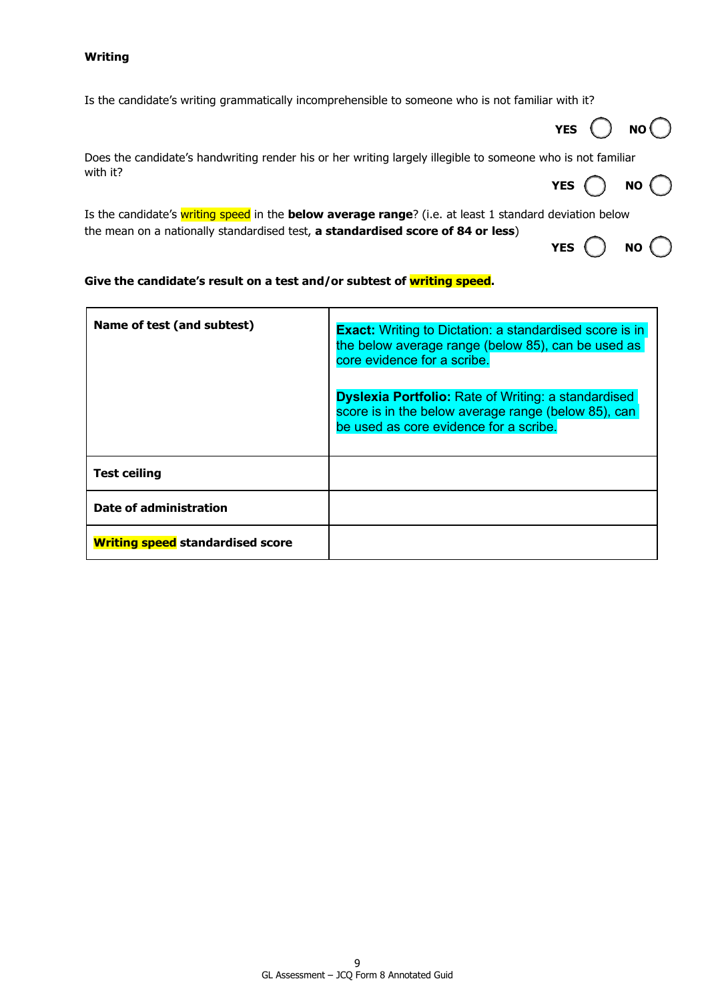#### **Writing**

Is the candidate's writing grammatically incomprehensible to someone who is not familiar with it?

| Does the candidate's handwriting render his or her writing largely illegible to someone who is not familiar |  |
|-------------------------------------------------------------------------------------------------------------|--|
| with it?                                                                                                    |  |

**YES NO** 

**YES NO**

Is the candidate's writing speed in the **below average range**? (i.e. at least 1 standard deviation below the mean on a nationally standardised test, **a standardised score of 84 or less**) **YES**  $\bigcirc$  **NO** $\bigcirc$ 

## **Give the candidate's result on a test and/or subtest of writing speed.**

| Name of test (and subtest)              | <b>Exact:</b> Writing to Dictation: a standardised score is in<br>the below average range (below 85), can be used as<br>core evidence for a scribe.         |  |
|-----------------------------------------|-------------------------------------------------------------------------------------------------------------------------------------------------------------|--|
|                                         | <b>Dyslexia Portfolio:</b> Rate of Writing: a standardised<br>score is in the below average range (below 85), can<br>be used as core evidence for a scribe. |  |
| <b>Test ceiling</b>                     |                                                                                                                                                             |  |
| Date of administration                  |                                                                                                                                                             |  |
| <b>Writing speed standardised score</b> |                                                                                                                                                             |  |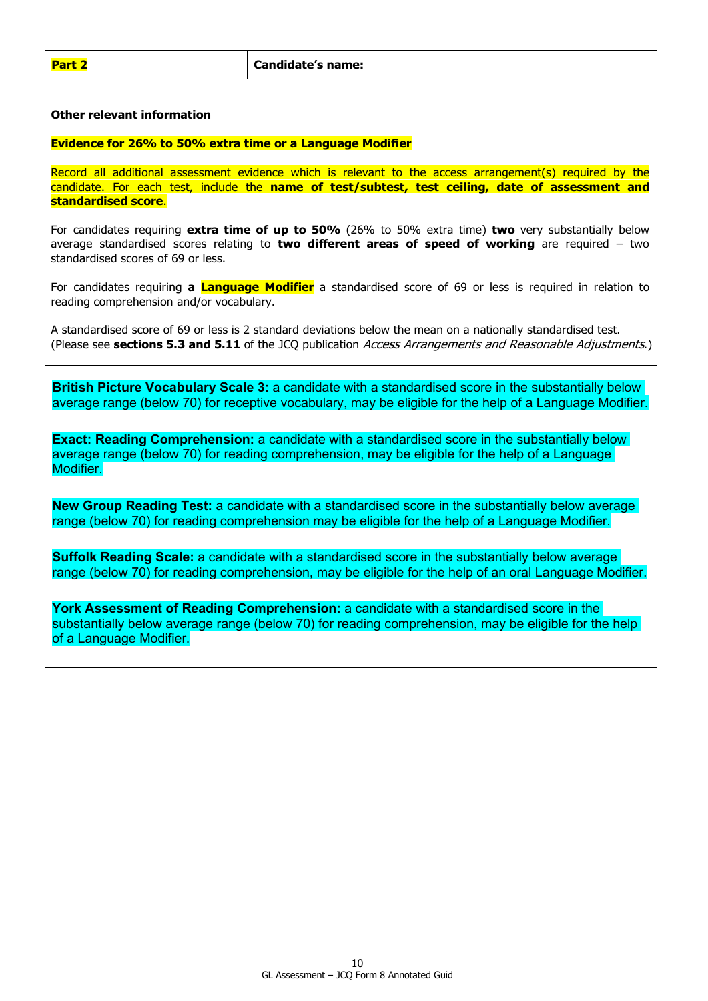#### **Other relevant information**

#### **Evidence for 26% to 50% extra time or a Language Modifier**

Record all additional assessment evidence which is relevant to the access arrangement(s) required by the candidate. For each test, include the **name of test/subtest, test ceiling, date of assessment and standardised score**.

For candidates requiring **extra time of up to 50%** (26% to 50% extra time) **two** very substantially below average standardised scores relating to **two different areas of speed of working** are required – two standardised scores of 69 or less.

For candidates requiring **a Language Modifier** a standardised score of 69 or less is required in relation to reading comprehension and/or vocabulary.

A standardised score of 69 or less is 2 standard deviations below the mean on a nationally standardised test. (Please see **sections 5.3 and 5.11** of the JCQ publication Access Arrangements and Reasonable Adjustments.)

**British Picture Vocabulary Scale 3:** a candidate with a standardised score in the substantially below average range (below 70) for receptive vocabulary, may be eligible for the help of a Language Modifier.

**Exact: Reading Comprehension:** a candidate with a standardised score in the substantially below average range (below 70) for reading comprehension, may be eligible for the help of a Language Modifier.

**New Group Reading Test:** a candidate with a standardised score in the substantially below average range (below 70) for reading comprehension may be eligible for the help of a Language Modifier.

**Suffolk Reading Scale:** a candidate with a standardised score in the substantially below average range (below 70) for reading comprehension, may be eligible for the help of an oral Language Modifier.

**York Assessment of Reading Comprehension:** a candidate with a standardised score in the substantially below average range (below 70) for reading comprehension, may be eligible for the help of a Language Modifier.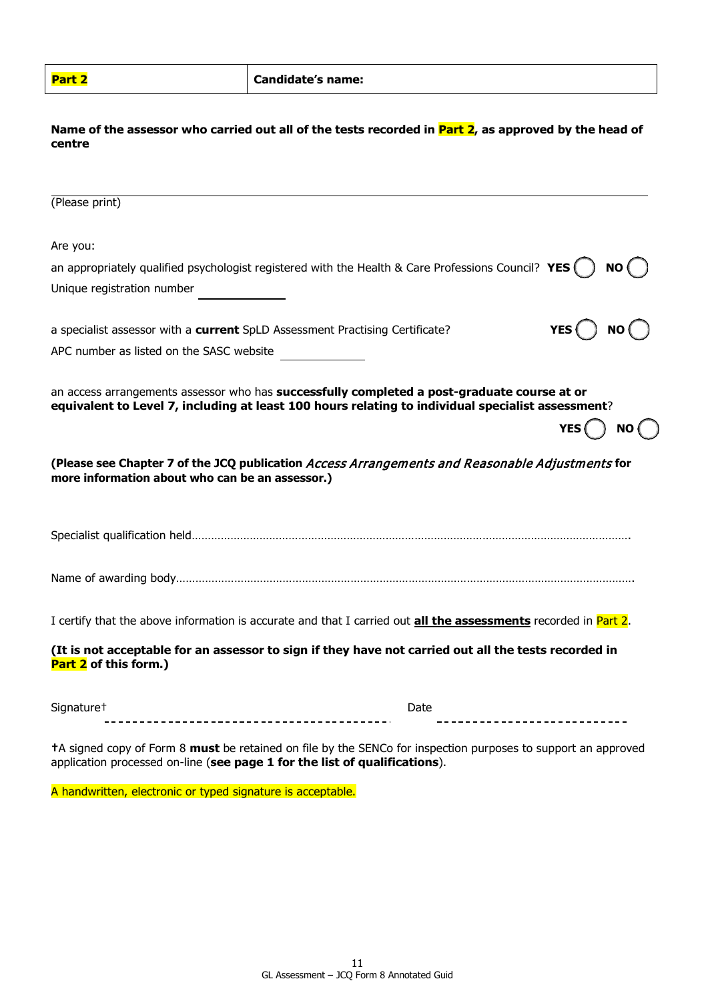| Part 2 | <b>Candidate's name:</b><br>________ |
|--------|--------------------------------------|
|--------|--------------------------------------|

## **Name of the assessor who carried out all of the tests recorded in Part 2, as approved by the head of centre**

| (Please print)                                                                                                                                                                                   |                   |
|--------------------------------------------------------------------------------------------------------------------------------------------------------------------------------------------------|-------------------|
| Are you:                                                                                                                                                                                         |                   |
| an appropriately qualified psychologist registered with the Health & Care Professions Council? YES $( )$                                                                                         | NO( )             |
| Unique registration number                                                                                                                                                                       |                   |
| a specialist assessor with a current SpLD Assessment Practising Certificate?                                                                                                                     | YES( ) NO(        |
| APC number as listed on the SASC website                                                                                                                                                         |                   |
| an access arrangements assessor who has successfully completed a post-graduate course at or<br>equivalent to Level 7, including at least 100 hours relating to individual specialist assessment? | YES $( )$<br>NO ( |
| (Please see Chapter 7 of the JCQ publication Access Arrangements and Reasonable Adjustments for<br>more information about who can be an assessor.)                                               |                   |
|                                                                                                                                                                                                  |                   |
|                                                                                                                                                                                                  |                   |
| I certify that the above information is accurate and that I carried out <b>all the assessments</b> recorded in Part 2.                                                                           |                   |
| (It is not acceptable for an assessor to sign if they have not carried out all the tests recorded in<br>Part 2 of this form.)                                                                    |                   |
| Signature <sup>+</sup>                                                                                                                                                                           | Date              |

**†**A signed copy of Form 8 **must** be retained on file by the SENCo for inspection purposes to support an approved application processed on-line (**see page 1 for the list of qualifications**).

A handwritten, electronic or typed signature is acceptable.